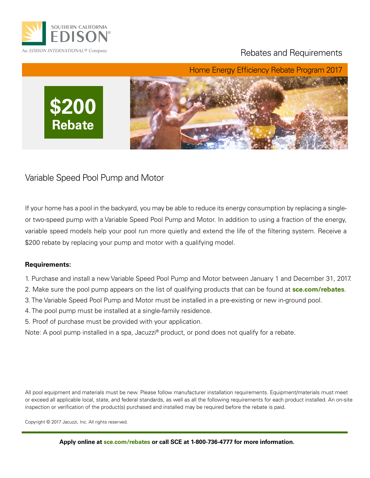

### Rebates and Requirements



### Variable Speed Pool Pump and Motor

If your home has a pool in the backyard, you may be able to reduce its energy consumption by replacing a singleor two-speed pump with a Variable Speed Pool Pump and Motor. In addition to using a fraction of the energy, variable speed models help your pool run more quietly and extend the life of the filtering system. Receive a \$200 rebate by replacing your pump and motor with a qualifying model.

#### **Requirements:**

- 1. Purchase and install a new Variable Speed Pool Pump and Motor between January 1 and December 31, 2017.
- 2. Make sure the pool pump appears on the list of qualifying products that can be found at **sce.com/rebates**.
- 3. The Variable Speed Pool Pump and Motor must be installed in a pre-existing or new in-ground pool.
- 4. The pool pump must be installed at a single-family residence.
- 5. Proof of purchase must be provided with your application.
- Note: A pool pump installed in a spa, Jacuzzi<sup>®</sup> product, or pond does not qualify for a rebate.

All pool equipment and materials must be new. Please follow manufacturer installation requirements. Equipment/materials must meet or exceed all applicable local, state, and federal standards, as well as all the following requirements for each product installed. An on-site inspection or verification of the product(s) purchased and installed may be required before the rebate is paid.

Copyright © 2017 Jacuzzi, Inc. All rights reserved.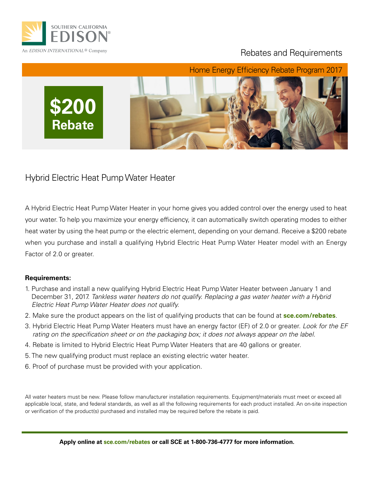

### Rebates and Requirements



Hybrid Electric Heat Pump Water Heater

A Hybrid Electric Heat Pump Water Heater in your home gives you added control over the energy used to heat your water. To help you maximize your energy efficiency, it can automatically switch operating modes to either heat water by using the heat pump or the electric element, depending on your demand. Receive a \$200 rebate when you purchase and install a qualifying Hybrid Electric Heat Pump Water Heater model with an Energy Factor of 2.0 or greater.

#### **Requirements:**

- 1. Purchase and install a new qualifying Hybrid Electric Heat Pump Water Heater between January 1 and December 31, 2017. *Tankless water heaters do not qualify. Replacing a gas water heater with a Hybrid Electric Heat Pump Water Heater does not qualify.*
- 2. Make sure the product appears on the list of qualifying products that can be found at **sce.com/rebates**.
- 3. Hybrid Electric Heat Pump Water Heaters must have an energy factor (EF) of 2.0 or greater. *Look for the EF rating on the specification sheet or on the packaging box; it does not always appear on the label.*
- 4. Rebate is limited to Hybrid Electric Heat Pump Water Heaters that are 40 gallons or greater.
- 5. The new qualifying product must replace an existing electric water heater.
- 6. Proof of purchase must be provided with your application.

All water heaters must be new. Please follow manufacturer installation requirements. Equipment/materials must meet or exceed all applicable local, state, and federal standards, as well as all the following requirements for each product installed. An on-site inspection or verification of the product(s) purchased and installed may be required before the rebate is paid.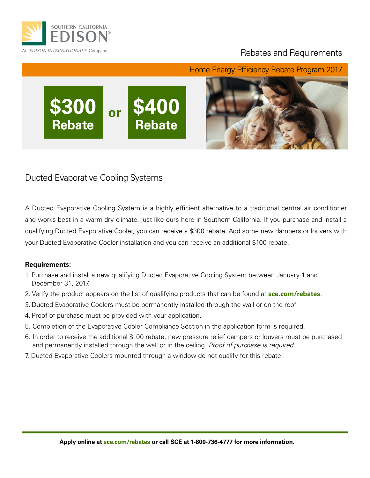

**Rebate**

### Rebates and Requirements

**\$300 \$400 or**

**Rebate**

Home Energy Efficiency Rebate Program 2017



Ducted Evaporative Cooling Systems

A Ducted Evaporative Cooling System is a highly efficient alternative to a traditional central air conditioner and works best in a warm-dry climate, just like ours here in Southern California. If you purchase and install a qualifying Ducted Evaporative Cooler, you can receive a \$300 rebate. Add some new dampers or louvers with your Ducted Evaporative Cooler installation and you can receive an additional \$100 rebate.

#### **Requirements:**

- 1. Purchase and install a new qualifying Ducted Evaporative Cooling System between January 1 and December 31, 2017.
- 2. Verify the product appears on the list of qualifying products that can be found at **sce.com/rebates**.
- 3. Ducted Evaporative Coolers must be permanently installed through the wall or on the roof.
- 4. Proof of purchase must be provided with your application.
- 5. Completion of the Evaporative Cooler Compliance Section in the application form is required.
- 6. In order to receive the additional \$100 rebate, new pressure relief dampers or louvers must be purchased and permanently installed through the wall or in the ceiling. *Proof of purchase is required.*
- 7. Ducted Evaporative Coolers mounted through a window do not qualify for this rebate.